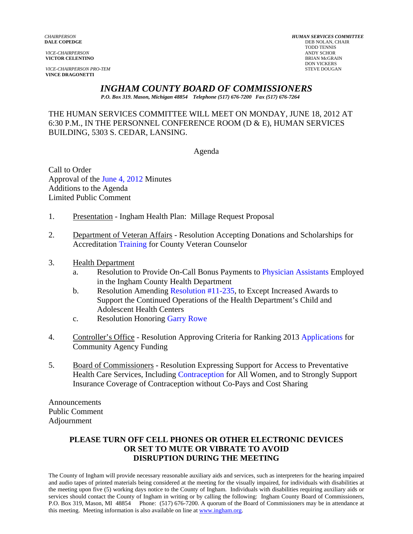**VICE-CHAIRPERSON PRO-TEM** STEVE DOUGAN **VINCE DRAGONETTI** 

*CHAIRPERSON HUMAN SERVICES COMMITTEE* **DEB NOLAN, CHAIR<br>TODD TENNIS**  TODD TENNIS *VICE-CHAIRPERSON* ANDY SCHOR **VICTOR CELENTINO**<br>
BRIAN McGRAI **DON VICKERS** 

#### *INGHAM COUNTY BOARD OF COMMISSIONERS*

*P.O. Box 319. Mason, Michigan 48854 Telephone (517) 676-7200 Fax (517) 676-7264*

#### THE HUMAN SERVICES COMMITTEE WILL MEET ON MONDAY, JUNE 18, 2012 AT 6:30 P.M., IN THE PERSONNEL CONFERENCE ROOM (D & E), HUMAN SERVICES BUILDING, 5303 S. CEDAR, LANSING.

Agenda

Call to Order Approval o[f the June 4, 2012 Minutes](#page-1-0)  Additions to the Agenda Limited Public Comment

- 1. Presentation Ingham Health Plan: Millage Request Proposal
- 2. Departme[nt of Veteran Affairs](#page-9-0) Resolution Accepting Donations and Scholarships for Accreditation Training for County Veteran Counselor
- 3. Health Department
	- a. Resolution to Provide On-Call Bonus Payments [to Physician Assistants Employed](#page-11-0) in the Ingham County Health Department
	- b. Resolution Amend[ing Resolution #11-235, to Ex](#page-13-0)cept Increased Awards to Support the Continued Operations of the Health Department's Child and Adolescent Health Centers
	- c. Resolution Honori[ng Garry Rowe](#page-19-0)
- 4. Controller's Office Resolution Approving Criteria for Ranking 20[13 Applications for](#page-20-0)  Community Agency Funding
- 5. Board of Commissioners Resolution Expressing Support for Access to Preventative Health Care Services, Includ[ing Contraception for All Wom](#page-22-0)en, and to Strongly Support Insurance Coverage of Contraception without Co-Pays and Cost Sharing

Announcements Public Comment Adjournment

## **PLEASE TURN OFF CELL PHONES OR OTHER ELECTRONIC DEVICES OR SET TO MUTE OR VIBRATE TO AVOID DISRUPTION DURING THE MEETING**

The County of Ingham will provide necessary reasonable auxiliary aids and services, such as interpreters for the hearing impaired and audio tapes of printed materials being considered at the meeting for the visually impaired, for individuals with disabilities at the meeting upon five (5) working days notice to the County of Ingham. Individuals with disabilities requiring auxiliary aids or services should contact the County of Ingham in writing or by calling the following: Ingham County Board of Commissioners, P.O. Box 319, Mason, MI 48854 Phone: (517) 676-7200. A quorum of the Board of Commissioners may be in attendance at this meeting. Meeting information is also available on line at www.ingham.org.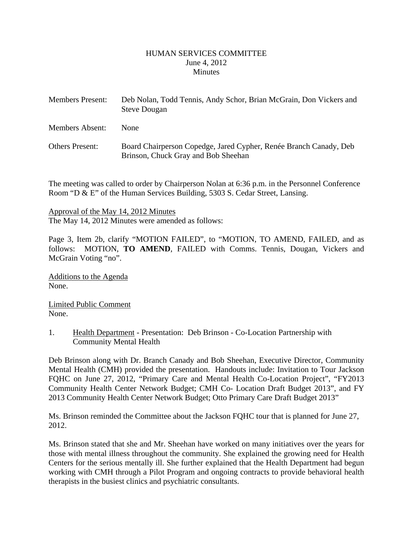#### HUMAN SERVICES COMMITTEE June 4, 2012 **Minutes**

<span id="page-1-0"></span>

| <b>Members Present:</b> | Deb Nolan, Todd Tennis, Andy Schor, Brian McGrain, Don Vickers and<br><b>Steve Dougan</b>                |
|-------------------------|----------------------------------------------------------------------------------------------------------|
| Members Absent:         | <b>None</b>                                                                                              |
| <b>Others Present:</b>  | Board Chairperson Copedge, Jared Cypher, Renée Branch Canady, Deb<br>Brinson, Chuck Gray and Bob Sheehan |

The meeting was called to order by Chairperson Nolan at 6:36 p.m. in the Personnel Conference Room "D & E" of the Human Services Building, 5303 S. Cedar Street, Lansing.

Approval of the May 14, 2012 Minutes The May 14, 2012 Minutes were amended as follows:

Page 3, Item 2b, clarify "MOTION FAILED", to "MOTION, TO AMEND, FAILED, and as follows: MOTION, **TO AMEND**, FAILED with Comms. Tennis, Dougan, Vickers and McGrain Voting "no".

Additions to the Agenda None.

Limited Public Comment None.

1. Health Department - Presentation: Deb Brinson - Co-Location Partnership with Community Mental Health

Deb Brinson along with Dr. Branch Canady and Bob Sheehan, Executive Director, Community Mental Health (CMH) provided the presentation. Handouts include: Invitation to Tour Jackson FQHC on June 27, 2012, "Primary Care and Mental Health Co-Location Project", "FY2013 Community Health Center Network Budget; CMH Co- Location Draft Budget 2013", and FY 2013 Community Health Center Network Budget; Otto Primary Care Draft Budget 2013"

Ms. Brinson reminded the Committee about the Jackson FQHC tour that is planned for June 27, 2012.

Ms. Brinson stated that she and Mr. Sheehan have worked on many initiatives over the years for those with mental illness throughout the community. She explained the growing need for Health Centers for the serious mentally ill. She further explained that the Health Department had begun working with CMH through a Pilot Program and ongoing contracts to provide behavioral health therapists in the busiest clinics and psychiatric consultants.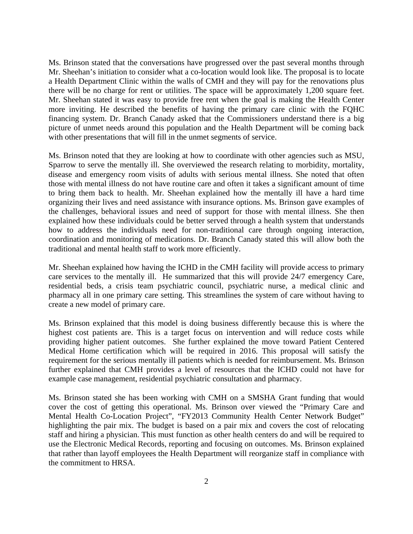Ms. Brinson stated that the conversations have progressed over the past several months through Mr. Sheehan's initiation to consider what a co-location would look like. The proposal is to locate a Health Department Clinic within the walls of CMH and they will pay for the renovations plus there will be no charge for rent or utilities. The space will be approximately 1,200 square feet. Mr. Sheehan stated it was easy to provide free rent when the goal is making the Health Center more inviting. He described the benefits of having the primary care clinic with the FQHC financing system. Dr. Branch Canady asked that the Commissioners understand there is a big picture of unmet needs around this population and the Health Department will be coming back with other presentations that will fill in the unmet segments of service.

Ms. Brinson noted that they are looking at how to coordinate with other agencies such as MSU, Sparrow to serve the mentally ill. She overviewed the research relating to morbidity, mortality, disease and emergency room visits of adults with serious mental illness. She noted that often those with mental illness do not have routine care and often it takes a significant amount of time to bring them back to health. Mr. Sheehan explained how the mentally ill have a hard time organizing their lives and need assistance with insurance options. Ms. Brinson gave examples of the challenges, behavioral issues and need of support for those with mental illness. She then explained how these individuals could be better served through a health system that understands how to address the individuals need for non-traditional care through ongoing interaction, coordination and monitoring of medications. Dr. Branch Canady stated this will allow both the traditional and mental health staff to work more efficiently.

Mr. Sheehan explained how having the ICHD in the CMH facility will provide access to primary care services to the mentally ill. He summarized that this will provide 24/7 emergency Care, residential beds, a crisis team psychiatric council, psychiatric nurse, a medical clinic and pharmacy all in one primary care setting. This streamlines the system of care without having to create a new model of primary care.

Ms. Brinson explained that this model is doing business differently because this is where the highest cost patients are. This is a target focus on intervention and will reduce costs while providing higher patient outcomes. She further explained the move toward Patient Centered Medical Home certification which will be required in 2016. This proposal will satisfy the requirement for the serious mentally ill patients which is needed for reimbursement. Ms. Brinson further explained that CMH provides a level of resources that the ICHD could not have for example case management, residential psychiatric consultation and pharmacy.

Ms. Brinson stated she has been working with CMH on a SMSHA Grant funding that would cover the cost of getting this operational. Ms. Brinson over viewed the "Primary Care and Mental Health Co-Location Project", "FY2013 Community Health Center Network Budget" highlighting the pair mix. The budget is based on a pair mix and covers the cost of relocating staff and hiring a physician. This must function as other health centers do and will be required to use the Electronic Medical Records, reporting and focusing on outcomes. Ms. Brinson explained that rather than layoff employees the Health Department will reorganize staff in compliance with the commitment to HRSA.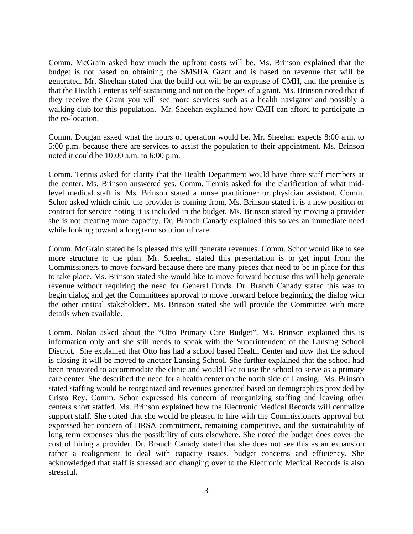Comm. McGrain asked how much the upfront costs will be. Ms. Brinson explained that the budget is not based on obtaining the SMSHA Grant and is based on revenue that will be generated. Mr. Sheehan stated that the build out will be an expense of CMH, and the premise is that the Health Center is self-sustaining and not on the hopes of a grant. Ms. Brinson noted that if they receive the Grant you will see more services such as a health navigator and possibly a walking club for this population. Mr. Sheehan explained how CMH can afford to participate in the co-location.

Comm. Dougan asked what the hours of operation would be. Mr. Sheehan expects 8:00 a.m. to 5:00 p.m. because there are services to assist the population to their appointment. Ms. Brinson noted it could be 10:00 a.m. to 6:00 p.m.

Comm. Tennis asked for clarity that the Health Department would have three staff members at the center. Ms. Brinson answered yes. Comm. Tennis asked for the clarification of what midlevel medical staff is. Ms. Brinson stated a nurse practitioner or physician assistant. Comm. Schor asked which clinic the provider is coming from. Ms. Brinson stated it is a new position or contract for service noting it is included in the budget. Ms. Brinson stated by moving a provider she is not creating more capacity. Dr. Branch Canady explained this solves an immediate need while looking toward a long term solution of care.

Comm. McGrain stated he is pleased this will generate revenues. Comm. Schor would like to see more structure to the plan. Mr. Sheehan stated this presentation is to get input from the Commissioners to move forward because there are many pieces that need to be in place for this to take place. Ms. Brinson stated she would like to move forward because this will help generate revenue without requiring the need for General Funds. Dr. Branch Canady stated this was to begin dialog and get the Committees approval to move forward before beginning the dialog with the other critical stakeholders. Ms. Brinson stated she will provide the Committee with more details when available.

Comm. Nolan asked about the "Otto Primary Care Budget". Ms. Brinson explained this is information only and she still needs to speak with the Superintendent of the Lansing School District. She explained that Otto has had a school based Health Center and now that the school is closing it will be moved to another Lansing School. She further explained that the school had been renovated to accommodate the clinic and would like to use the school to serve as a primary care center. She described the need for a health center on the north side of Lansing. Ms. Brinson stated staffing would be reorganized and revenues generated based on demographics provided by Cristo Rey. Comm. Schor expressed his concern of reorganizing staffing and leaving other centers short staffed. Ms. Brinson explained how the Electronic Medical Records will centralize support staff. She stated that she would be pleased to hire with the Commissioners approval but expressed her concern of HRSA commitment, remaining competitive, and the sustainability of long term expenses plus the possibility of cuts elsewhere. She noted the budget does cover the cost of hiring a provider. Dr. Branch Canady stated that she does not see this as an expansion rather a realignment to deal with capacity issues, budget concerns and efficiency. She acknowledged that staff is stressed and changing over to the Electronic Medical Records is also stressful.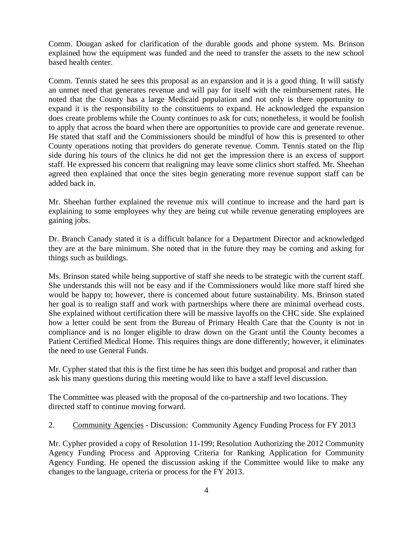Comm. Dougan asked for clarification of the durable goods and phone system. Ms. Brinson explained how the equipment was funded and the need to transfer the assets to the new school based health center.

Comm. Tennis stated he sees this proposal as an expansion and it is a good thing. It will satisfy an unmet need that generates revenue and will pay for itself with the reimbursement rates. He noted that the County has a large Medicaid population and not only is there opportunity to expand it is the responsibility to the constituents to expand. He acknowledged the expansion does create problems while the County continues to ask for cuts; nonetheless, it would be foolish to apply that across the board when there are opportunities to provide care and generate revenue. He stated that staff and the Commissioners should be mindful of how this is presented to other County operations noting that providers do generate revenue. Comm. Tennis stated on the flip side during his tours of the clinics he did not get the impression there is an excess of support staff. He expressed his concern that realigning may leave some clinics short staffed. Mr. Sheehan agreed then explained that once the sites begin generating more revenue support staff can be added back in.

Mr. Sheehan further explained the revenue mix will continue to increase and the hard part is explaining to some employees why they are being cut while revenue generating employees are gaining jobs.

Dr. Branch Canady stated it is a difficult balance for a Department Director and acknowledged they are at the bare minimum. She noted that in the future they may be coming and asking for things such as buildings.

Ms. Brinson stated while being supportive of staff she needs to be strategic with the current staff. She understands this will not be easy and if the Commissioners would like more staff hired she would be happy to; however, there is concerned about future sustainability. Ms. Brinson stated her goal is to realign staff and work with partnerships where there are minimal overhead costs. She explained without certification there will be massive layoffs on the CHC side. She explained how a letter could be sent from the Bureau of Primary Health Care that the County is not in compliance and is no longer eligible to draw down on the Grant until the County becomes a Patient Certified Medical Home. This requires things are done differently; however, it eliminates the need to use General Funds.

Mr. Cypher stated that this is the first time he has seen this budget and proposal and rather than ask his many questions during this meeting would like to have a staff level discussion.

The Committee was pleased with the proposal of the co-partnership and two locations. They directed staff to continue moving forward.

2. Community Agencies - Discussion: Community Agency Funding Process for FY 2013

Mr. Cypher provided a copy of Resolution 11-199; Resolution Authorizing the 2012 Community Agency Funding Process and Approving Criteria for Ranking Application for Community Agency Funding. He opened the discussion asking if the Committee would like to make any changes to the language, criteria or process for the FY 2013.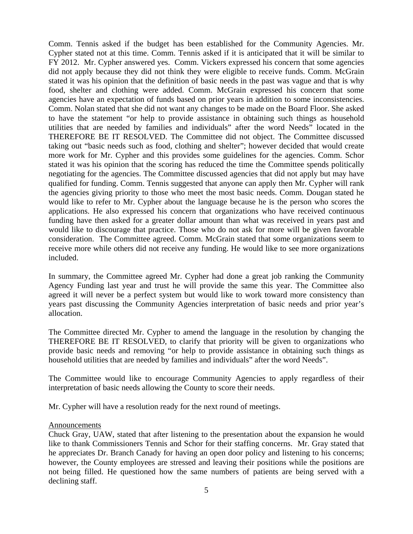Comm. Tennis asked if the budget has been established for the Community Agencies. Mr. Cypher stated not at this time. Comm. Tennis asked if it is anticipated that it will be similar to FY 2012. Mr. Cypher answered yes. Comm. Vickers expressed his concern that some agencies did not apply because they did not think they were eligible to receive funds. Comm. McGrain stated it was his opinion that the definition of basic needs in the past was vague and that is why food, shelter and clothing were added. Comm. McGrain expressed his concern that some agencies have an expectation of funds based on prior years in addition to some inconsistencies. Comm. Nolan stated that she did not want any changes to be made on the Board Floor. She asked to have the statement "or help to provide assistance in obtaining such things as household utilities that are needed by families and individuals" after the word Needs" located in the THEREFORE BE IT RESOLVED. The Committee did not object. The Committee discussed taking out "basic needs such as food, clothing and shelter"; however decided that would create more work for Mr. Cypher and this provides some guidelines for the agencies. Comm. Schor stated it was his opinion that the scoring has reduced the time the Committee spends politically negotiating for the agencies. The Committee discussed agencies that did not apply but may have qualified for funding. Comm. Tennis suggested that anyone can apply then Mr. Cypher will rank the agencies giving priority to those who meet the most basic needs. Comm. Dougan stated he would like to refer to Mr. Cypher about the language because he is the person who scores the applications. He also expressed his concern that organizations who have received continuous funding have then asked for a greater dollar amount than what was received in years past and would like to discourage that practice. Those who do not ask for more will be given favorable consideration. The Committee agreed. Comm. McGrain stated that some organizations seem to receive more while others did not receive any funding. He would like to see more organizations included.

In summary, the Committee agreed Mr. Cypher had done a great job ranking the Community Agency Funding last year and trust he will provide the same this year. The Committee also agreed it will never be a perfect system but would like to work toward more consistency than years past discussing the Community Agencies interpretation of basic needs and prior year's allocation.

The Committee directed Mr. Cypher to amend the language in the resolution by changing the THEREFORE BE IT RESOLVED, to clarify that priority will be given to organizations who provide basic needs and removing "or help to provide assistance in obtaining such things as household utilities that are needed by families and individuals" after the word Needs".

The Committee would like to encourage Community Agencies to apply regardless of their interpretation of basic needs allowing the County to score their needs.

Mr. Cypher will have a resolution ready for the next round of meetings.

#### **Announcements**

Chuck Gray, UAW, stated that after listening to the presentation about the expansion he would like to thank Commissioners Tennis and Schor for their staffing concerns. Mr. Gray stated that he appreciates Dr. Branch Canady for having an open door policy and listening to his concerns; however, the County employees are stressed and leaving their positions while the positions are not being filled. He questioned how the same numbers of patients are being served with a declining staff.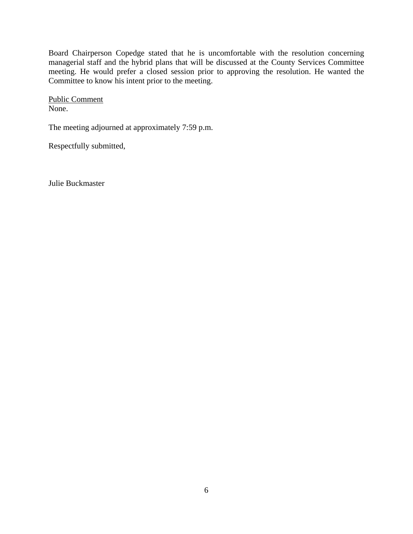Board Chairperson Copedge stated that he is uncomfortable with the resolution concerning managerial staff and the hybrid plans that will be discussed at the County Services Committee meeting. He would prefer a closed session prior to approving the resolution. He wanted the Committee to know his intent prior to the meeting.

Public Comment None.

The meeting adjourned at approximately 7:59 p.m.

Respectfully submitted,

Julie Buckmaster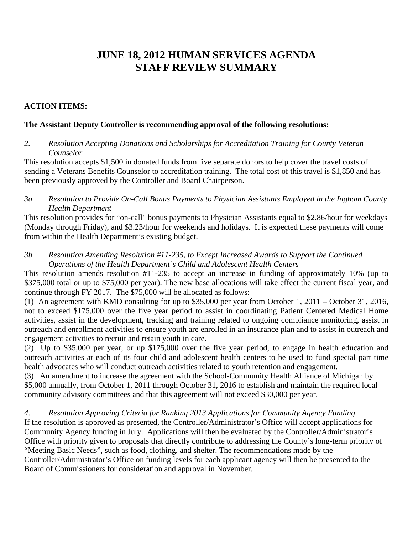# **JUNE 18, 2012 HUMAN SERVICES AGENDA STAFF REVIEW SUMMARY**

## **ACTION ITEMS:**

## **The Assistant Deputy Controller is recommending approval of the following resolutions:**

*2. Resolution Accepting Donations and Scholarships for Accreditation Training for County Veteran Counselor* 

This resolution accepts \$1,500 in donated funds from five separate donors to help cover the travel costs of sending a Veterans Benefits Counselor to accreditation training. The total cost of this travel is \$1,850 and has been previously approved by the Controller and Board Chairperson.

*3a. Resolution to Provide On-Call Bonus Payments to Physician Assistants Employed in the Ingham County Health Department* 

This resolution provides for "on-call" bonus payments to Physician Assistants equal to \$2.86/hour for weekdays (Monday through Friday), and \$3.23/hour for weekends and holidays. It is expected these payments will come from within the Health Department's existing budget.

*3b. Resolution Amending Resolution #11-235, to Except Increased Awards to Support the Continued Operations of the Health Department's Child and Adolescent Health Centers* 

This resolution amends resolution #11-235 to accept an increase in funding of approximately 10% (up to \$375,000 total or up to \$75,000 per year). The new base allocations will take effect the current fiscal year, and continue through FY 2017. The \$75,000 will be allocated as follows:

(1) An agreement with KMD consulting for up to \$35,000 per year from October 1, 2011 – October 31, 2016, not to exceed \$175,000 over the five year period to assist in coordinating Patient Centered Medical Home activities, assist in the development, tracking and training related to ongoing compliance monitoring, assist in outreach and enrollment activities to ensure youth are enrolled in an insurance plan and to assist in outreach and engagement activities to recruit and retain youth in care.

(2) Up to \$35,000 per year, or up \$175,000 over the five year period, to engage in health education and outreach activities at each of its four child and adolescent health centers to be used to fund special part time health advocates who will conduct outreach activities related to youth retention and engagement.

(3) An amendment to increase the agreement with the School-Community Health Alliance of Michigan by \$5,000 annually, from October 1, 2011 through October 31, 2016 to establish and maintain the required local community advisory committees and that this agreement will not exceed \$30,000 per year.

*4. Resolution Approving Criteria for Ranking 2013 Applications for Community Agency Funding*  If the resolution is approved as presented, the Controller/Administrator's Office will accept applications for Community Agency funding in July. Applications will then be evaluated by the Controller/Administrator's Office with priority given to proposals that directly contribute to addressing the County's long-term priority of "Meeting Basic Needs", such as food, clothing, and shelter. The recommendations made by the Controller/Administrator's Office on funding levels for each applicant agency will then be presented to the Board of Commissioners for consideration and approval in November.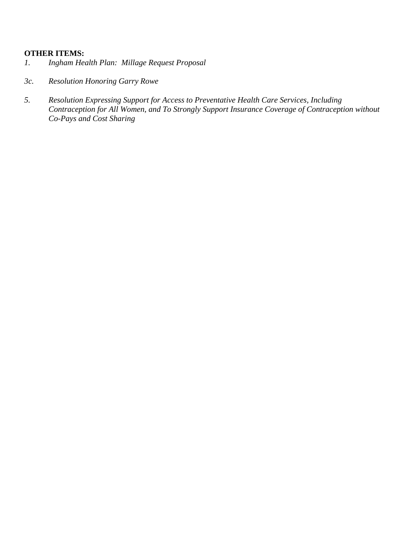## **OTHER ITEMS:**

- *1. Ingham Health Plan: Millage Request Proposal*
- *3c. Resolution Honoring Garry Rowe*
- *5. Resolution Expressing Support for Access to Preventative Health Care Services, Including Contraception for All Women, and To Strongly Support Insurance Coverage of Contraception without Co-Pays and Cost Sharing*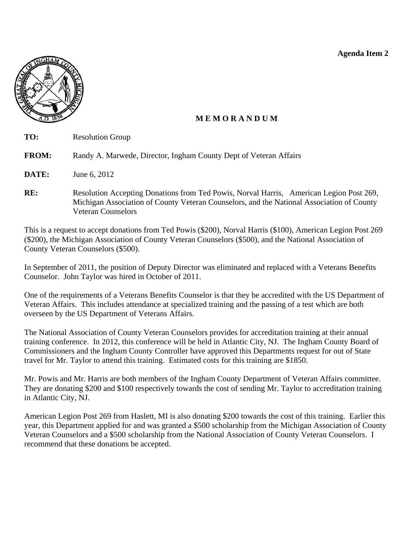**Agenda Item 2** 

<span id="page-9-0"></span>

Veteran Counselors

# **M E M O R A N D U M**

| TO:          | <b>Resolution Group</b>                                                                                                                                                              |
|--------------|--------------------------------------------------------------------------------------------------------------------------------------------------------------------------------------|
| <b>FROM:</b> | Randy A. Marwede, Director, Ingham County Dept of Veteran Affairs                                                                                                                    |
| DATE:        | June 6, 2012                                                                                                                                                                         |
| RE:          | Resolution Accepting Donations from Ted Powis, Norval Harris, American Legion Post 269,<br>Michigan Association of County Veteran Counselors, and the National Association of County |

This is a request to accept donations from Ted Powis (\$200), Norval Harris (\$100), American Legion Post 269 (\$200), the Michigan Association of County Veteran Counselors (\$500), and the National Association of County Veteran Counselors (\$500).

In September of 2011, the position of Deputy Director was eliminated and replaced with a Veterans Benefits Counselor. John Taylor was hired in October of 2011.

One of the requirements of a Veterans Benefits Counselor is that they be accredited with the US Department of Veteran Affairs. This includes attendance at specialized training and the passing of a test which are both overseen by the US Department of Veterans Affairs.

The National Association of County Veteran Counselors provides for accreditation training at their annual training conference. In 2012, this conference will be held in Atlantic City, NJ. The Ingham County Board of Commissioners and the Ingham County Controller have approved this Departments request for out of State travel for Mr. Taylor to attend this training. Estimated costs for this training are \$1850.

Mr. Powis and Mr. Harris are both members of the Ingham County Department of Veteran Affairs committee. They are donating \$200 and \$100 respectively towards the cost of sending Mr. Taylor to accreditation training in Atlantic City, NJ.

American Legion Post 269 from Haslett, MI is also donating \$200 towards the cost of this training. Earlier this year, this Department applied for and was granted a \$500 scholarship from the Michigan Association of County Veteran Counselors and a \$500 scholarship from the National Association of County Veteran Counselors. I recommend that these donations be accepted.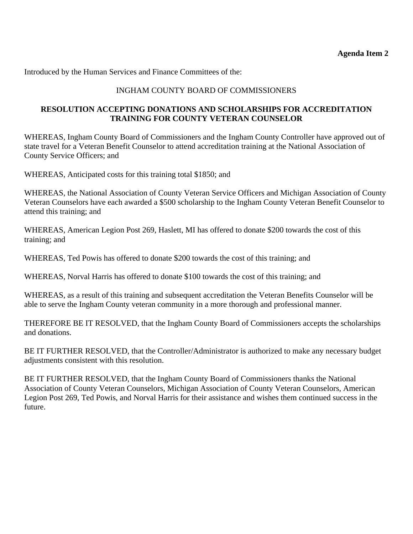Introduced by the Human Services and Finance Committees of the:

# INGHAM COUNTY BOARD OF COMMISSIONERS

## **RESOLUTION ACCEPTING DONATIONS AND SCHOLARSHIPS FOR ACCREDITATION TRAINING FOR COUNTY VETERAN COUNSELOR**

WHEREAS, Ingham County Board of Commissioners and the Ingham County Controller have approved out of state travel for a Veteran Benefit Counselor to attend accreditation training at the National Association of County Service Officers; and

WHEREAS, Anticipated costs for this training total \$1850; and

WHEREAS, the National Association of County Veteran Service Officers and Michigan Association of County Veteran Counselors have each awarded a \$500 scholarship to the Ingham County Veteran Benefit Counselor to attend this training; and

WHEREAS, American Legion Post 269, Haslett, MI has offered to donate \$200 towards the cost of this training; and

WHEREAS, Ted Powis has offered to donate \$200 towards the cost of this training; and

WHEREAS, Norval Harris has offered to donate \$100 towards the cost of this training; and

WHEREAS, as a result of this training and subsequent accreditation the Veteran Benefits Counselor will be able to serve the Ingham County veteran community in a more thorough and professional manner.

THEREFORE BE IT RESOLVED, that the Ingham County Board of Commissioners accepts the scholarships and donations.

BE IT FURTHER RESOLVED, that the Controller/Administrator is authorized to make any necessary budget adjustments consistent with this resolution.

BE IT FURTHER RESOLVED, that the Ingham County Board of Commissioners thanks the National Association of County Veteran Counselors, Michigan Association of County Veteran Counselors, American Legion Post 269, Ted Powis, and Norval Harris for their assistance and wishes them continued success in the future.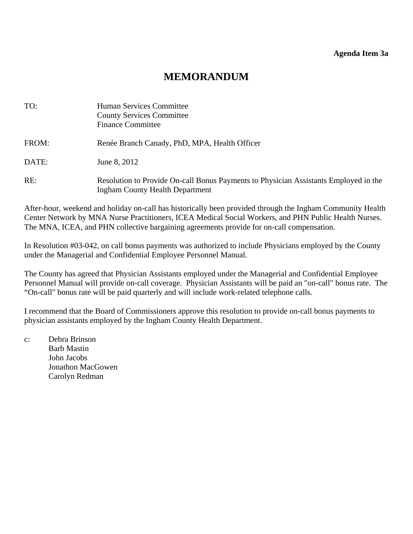# **MEMORANDUM**

<span id="page-11-0"></span>

| TO:   | <b>Human Services Committee</b><br><b>County Services Committee</b><br><b>Finance Committee</b>                                |
|-------|--------------------------------------------------------------------------------------------------------------------------------|
| FROM: | Renée Branch Canady, PhD, MPA, Health Officer                                                                                  |
| DATE: | June 8, 2012                                                                                                                   |
| RE:   | Resolution to Provide On-call Bonus Payments to Physician Assistants Employed in the<br><b>Ingham County Health Department</b> |

After-hour, weekend and holiday on-call has historically been provided through the Ingham Community Health Center Network by MNA Nurse Practitioners, ICEA Medical Social Workers, and PHN Public Health Nurses. The MNA, ICEA, and PHN collective bargaining agreements provide for on-call compensation.

In Resolution #03-042, on call bonus payments was authorized to include Physicians employed by the County under the Managerial and Confidential Employee Personnel Manual.

The County has agreed that Physician Assistants employed under the Managerial and Confidential Employee Personnel Manual will provide on-call coverage. Physician Assistants will be paid an "on-call" bonus rate. The "On-call" bonus rate will be paid quarterly and will include work-related telephone calls.

I recommend that the Board of Commissioners approve this resolution to provide on-call bonus payments to physician assistants employed by the Ingham County Health Department.

c: Debra Brinson Barb Mastin John Jacobs Jonathon MacGowen Carolyn Redman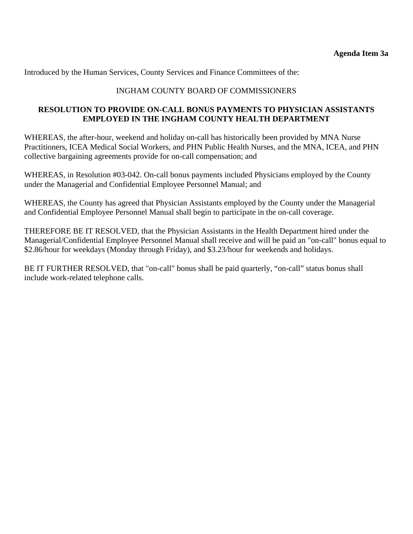Introduced by the Human Services, County Services and Finance Committees of the:

## INGHAM COUNTY BOARD OF COMMISSIONERS

## **RESOLUTION TO PROVIDE ON-CALL BONUS PAYMENTS TO PHYSICIAN ASSISTANTS EMPLOYED IN THE INGHAM COUNTY HEALTH DEPARTMENT**

WHEREAS, the after-hour, weekend and holiday on-call has historically been provided by MNA Nurse Practitioners, ICEA Medical Social Workers, and PHN Public Health Nurses, and the MNA, ICEA, and PHN collective bargaining agreements provide for on-call compensation; and

WHEREAS, in Resolution #03-042. On-call bonus payments included Physicians employed by the County under the Managerial and Confidential Employee Personnel Manual; and

WHEREAS, the County has agreed that Physician Assistants employed by the County under the Managerial and Confidential Employee Personnel Manual shall begin to participate in the on-call coverage.

THEREFORE BE IT RESOLVED, that the Physician Assistants in the Health Department hired under the Managerial/Confidential Employee Personnel Manual shall receive and will be paid an "on-call" bonus equal to \$2.86/hour for weekdays (Monday through Friday), and \$3.23/hour for weekends and holidays.

BE IT FURTHER RESOLVED, that "on-call" bonus shall be paid quarterly, "on-call" status bonus shall include work-related telephone calls.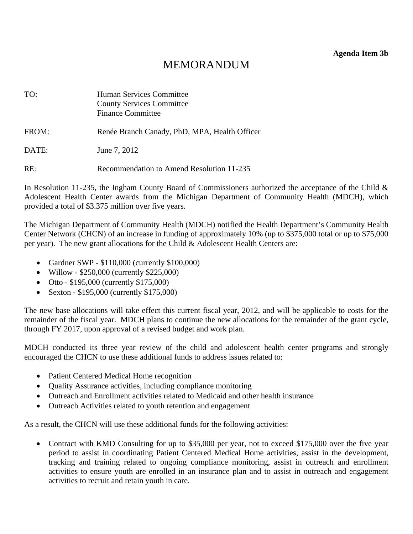**Agenda Item 3b** 

# MEMORANDUM

<span id="page-13-0"></span>

| TO:   | <b>Human Services Committee</b><br><b>County Services Committee</b><br><b>Finance Committee</b> |
|-------|-------------------------------------------------------------------------------------------------|
| FROM: | Renée Branch Canady, PhD, MPA, Health Officer                                                   |
| DATE: | June 7, 2012                                                                                    |
| RE:   | Recommendation to Amend Resolution 11-235                                                       |

In Resolution 11-235, the Ingham County Board of Commissioners authorized the acceptance of the Child & Adolescent Health Center awards from the Michigan Department of Community Health (MDCH), which provided a total of \$3.375 million over five years.

The Michigan Department of Community Health (MDCH) notified the Health Department's Community Health Center Network (CHCN) of an increase in funding of approximately 10% (up to \$375,000 total or up to \$75,000 per year). The new grant allocations for the Child & Adolescent Health Centers are:

- Gardner SWP \$110,000 (currently \$100,000)
- Willow \$250,000 (currently \$225,000)
- Otto \$195,000 (currently \$175,000)
- Sexton \$195,000 (currently \$175,000)

The new base allocations will take effect this current fiscal year, 2012, and will be applicable to costs for the remainder of the fiscal year. MDCH plans to continue the new allocations for the remainder of the grant cycle, through FY 2017, upon approval of a revised budget and work plan.

MDCH conducted its three year review of the child and adolescent health center programs and strongly encouraged the CHCN to use these additional funds to address issues related to:

- Patient Centered Medical Home recognition
- Quality Assurance activities, including compliance monitoring
- Outreach and Enrollment activities related to Medicaid and other health insurance
- Outreach Activities related to youth retention and engagement

As a result, the CHCN will use these additional funds for the following activities:

• Contract with KMD Consulting for up to \$35,000 per year, not to exceed \$175,000 over the five year period to assist in coordinating Patient Centered Medical Home activities, assist in the development, tracking and training related to ongoing compliance monitoring, assist in outreach and enrollment activities to ensure youth are enrolled in an insurance plan and to assist in outreach and engagement activities to recruit and retain youth in care.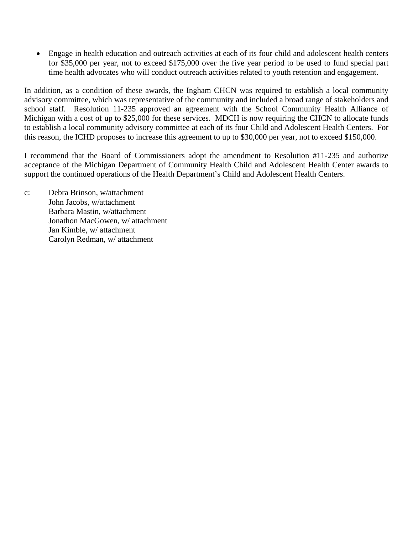• Engage in health education and outreach activities at each of its four child and adolescent health centers for \$35,000 per year, not to exceed \$175,000 over the five year period to be used to fund special part time health advocates who will conduct outreach activities related to youth retention and engagement.

In addition, as a condition of these awards, the Ingham CHCN was required to establish a local community advisory committee, which was representative of the community and included a broad range of stakeholders and school staff. Resolution 11-235 approved an agreement with the School Community Health Alliance of Michigan with a cost of up to \$25,000 for these services. MDCH is now requiring the CHCN to allocate funds to establish a local community advisory committee at each of its four Child and Adolescent Health Centers. For this reason, the ICHD proposes to increase this agreement to up to \$30,000 per year, not to exceed \$150,000.

I recommend that the Board of Commissioners adopt the amendment to Resolution #11-235 and authorize acceptance of the Michigan Department of Community Health Child and Adolescent Health Center awards to support the continued operations of the Health Department's Child and Adolescent Health Centers.

c: Debra Brinson, w/attachment John Jacobs, w/attachment Barbara Mastin, w/attachment Jonathon MacGowen, w/ attachment Jan Kimble, w/ attachment Carolyn Redman, w/ attachment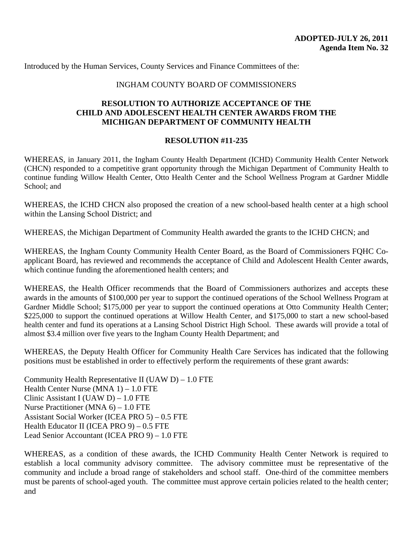Introduced by the Human Services, County Services and Finance Committees of the:

#### INGHAM COUNTY BOARD OF COMMISSIONERS

#### **RESOLUTION TO AUTHORIZE ACCEPTANCE OF THE CHILD AND ADOLESCENT HEALTH CENTER AWARDS FROM THE MICHIGAN DEPARTMENT OF COMMUNITY HEALTH**

#### **RESOLUTION #11-235**

WHEREAS, in January 2011, the Ingham County Health Department (ICHD) Community Health Center Network (CHCN) responded to a competitive grant opportunity through the Michigan Department of Community Health to continue funding Willow Health Center, Otto Health Center and the School Wellness Program at Gardner Middle School; and

WHEREAS, the ICHD CHCN also proposed the creation of a new school-based health center at a high school within the Lansing School District; and

WHEREAS, the Michigan Department of Community Health awarded the grants to the ICHD CHCN; and

WHEREAS, the Ingham County Community Health Center Board, as the Board of Commissioners FQHC Coapplicant Board, has reviewed and recommends the acceptance of Child and Adolescent Health Center awards, which continue funding the aforementioned health centers; and

WHEREAS, the Health Officer recommends that the Board of Commissioners authorizes and accepts these awards in the amounts of \$100,000 per year to support the continued operations of the School Wellness Program at Gardner Middle School; \$175,000 per year to support the continued operations at Otto Community Health Center; \$225,000 to support the continued operations at Willow Health Center, and \$175,000 to start a new school-based health center and fund its operations at a Lansing School District High School. These awards will provide a total of almost \$3.4 million over five years to the Ingham County Health Department; and

WHEREAS, the Deputy Health Officer for Community Health Care Services has indicated that the following positions must be established in order to effectively perform the requirements of these grant awards:

Community Health Representative II (UAW  $D$ ) – 1.0 FTE Health Center Nurse (MNA 1) – 1.0 FTE Clinic Assistant I (UAW D) – 1.0 FTE Nurse Practitioner (MNA 6) – 1.0 FTE Assistant Social Worker (ICEA PRO 5) – 0.5 FTE Health Educator II (ICEA PRO 9) – 0.5 FTE Lead Senior Accountant (ICEA PRO 9) – 1.0 FTE

WHEREAS, as a condition of these awards, the ICHD Community Health Center Network is required to establish a local community advisory committee. The advisory committee must be representative of the community and include a broad range of stakeholders and school staff. One-third of the committee members must be parents of school-aged youth. The committee must approve certain policies related to the health center; and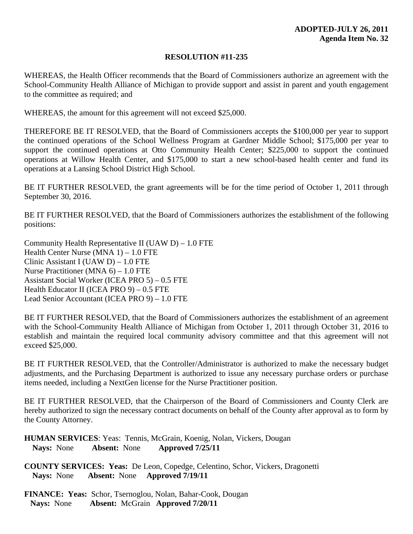#### **RESOLUTION #11-235**

WHEREAS, the Health Officer recommends that the Board of Commissioners authorize an agreement with the School-Community Health Alliance of Michigan to provide support and assist in parent and youth engagement to the committee as required; and

WHEREAS, the amount for this agreement will not exceed \$25,000.

THEREFORE BE IT RESOLVED, that the Board of Commissioners accepts the \$100,000 per year to support the continued operations of the School Wellness Program at Gardner Middle School; \$175,000 per year to support the continued operations at Otto Community Health Center; \$225,000 to support the continued operations at Willow Health Center, and \$175,000 to start a new school-based health center and fund its operations at a Lansing School District High School.

BE IT FURTHER RESOLVED, the grant agreements will be for the time period of October 1, 2011 through September 30, 2016.

BE IT FURTHER RESOLVED, that the Board of Commissioners authorizes the establishment of the following positions:

Community Health Representative II (UAW D) – 1.0 FTE Health Center Nurse (MNA 1) – 1.0 FTE Clinic Assistant I (UAW D) – 1.0 FTE Nurse Practitioner (MNA 6) – 1.0 FTE Assistant Social Worker (ICEA PRO 5) – 0.5 FTE Health Educator II (ICEA PRO 9) – 0.5 FTE Lead Senior Accountant (ICEA PRO 9) – 1.0 FTE

BE IT FURTHER RESOLVED, that the Board of Commissioners authorizes the establishment of an agreement with the School-Community Health Alliance of Michigan from October 1, 2011 through October 31, 2016 to establish and maintain the required local community advisory committee and that this agreement will not exceed \$25,000.

BE IT FURTHER RESOLVED, that the Controller/Administrator is authorized to make the necessary budget adjustments, and the Purchasing Department is authorized to issue any necessary purchase orders or purchase items needed, including a NextGen license for the Nurse Practitioner position.

BE IT FURTHER RESOLVED, that the Chairperson of the Board of Commissioners and County Clerk are hereby authorized to sign the necessary contract documents on behalf of the County after approval as to form by the County Attorney.

**HUMAN SERVICES**: Yeas: Tennis, McGrain, Koenig, Nolan, Vickers, Dougan **Nays:** None **Absent:** None **Approved 7/25/11** 

**COUNTY SERVICES: Yeas:** De Leon, Copedge, Celentino, Schor, Vickers, Dragonetti  **Nays:** None **Absent:** None **Approved 7/19/11** 

**FINANCE: Yeas:** Schor, Tsernoglou, Nolan, Bahar-Cook, Dougan  **Nays:** None **Absent:** McGrain **Approved 7/20/11**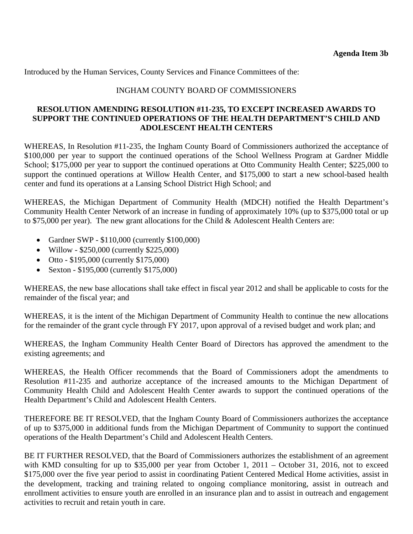Introduced by the Human Services, County Services and Finance Committees of the:

## INGHAM COUNTY BOARD OF COMMISSIONERS

#### **RESOLUTION AMENDING RESOLUTION #11-235, TO EXCEPT INCREASED AWARDS TO SUPPORT THE CONTINUED OPERATIONS OF THE HEALTH DEPARTMENT'S CHILD AND ADOLESCENT HEALTH CENTERS**

WHEREAS, In Resolution #11-235, the Ingham County Board of Commissioners authorized the acceptance of \$100,000 per year to support the continued operations of the School Wellness Program at Gardner Middle School; \$175,000 per year to support the continued operations at Otto Community Health Center; \$225,000 to support the continued operations at Willow Health Center, and \$175,000 to start a new school-based health center and fund its operations at a Lansing School District High School; and

WHEREAS, the Michigan Department of Community Health (MDCH) notified the Health Department's Community Health Center Network of an increase in funding of approximately 10% (up to \$375,000 total or up to \$75,000 per year). The new grant allocations for the Child & Adolescent Health Centers are:

- Gardner SWP \$110,000 (currently \$100,000)
- Willow \$250,000 (currently \$225,000)
- Otto \$195,000 (currently \$175,000)
- Sexton \$195,000 (currently \$175,000)

WHEREAS, the new base allocations shall take effect in fiscal year 2012 and shall be applicable to costs for the remainder of the fiscal year; and

WHEREAS, it is the intent of the Michigan Department of Community Health to continue the new allocations for the remainder of the grant cycle through FY 2017, upon approval of a revised budget and work plan; and

WHEREAS, the Ingham Community Health Center Board of Directors has approved the amendment to the existing agreements; and

WHEREAS, the Health Officer recommends that the Board of Commissioners adopt the amendments to Resolution #11-235 and authorize acceptance of the increased amounts to the Michigan Department of Community Health Child and Adolescent Health Center awards to support the continued operations of the Health Department's Child and Adolescent Health Centers.

THEREFORE BE IT RESOLVED, that the Ingham County Board of Commissioners authorizes the acceptance of up to \$375,000 in additional funds from the Michigan Department of Community to support the continued operations of the Health Department's Child and Adolescent Health Centers.

BE IT FURTHER RESOLVED, that the Board of Commissioners authorizes the establishment of an agreement with KMD consulting for up to \$35,000 per year from October 1, 2011 – October 31, 2016, not to exceed \$175,000 over the five year period to assist in coordinating Patient Centered Medical Home activities, assist in the development, tracking and training related to ongoing compliance monitoring, assist in outreach and enrollment activities to ensure youth are enrolled in an insurance plan and to assist in outreach and engagement activities to recruit and retain youth in care.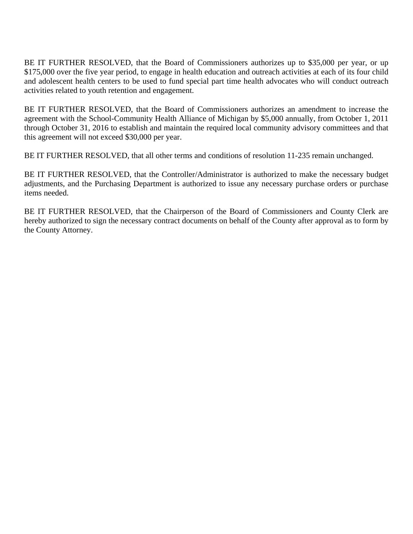BE IT FURTHER RESOLVED, that the Board of Commissioners authorizes up to \$35,000 per year, or up \$175,000 over the five year period, to engage in health education and outreach activities at each of its four child and adolescent health centers to be used to fund special part time health advocates who will conduct outreach activities related to youth retention and engagement.

BE IT FURTHER RESOLVED, that the Board of Commissioners authorizes an amendment to increase the agreement with the School-Community Health Alliance of Michigan by \$5,000 annually, from October 1, 2011 through October 31, 2016 to establish and maintain the required local community advisory committees and that this agreement will not exceed \$30,000 per year.

BE IT FURTHER RESOLVED, that all other terms and conditions of resolution 11-235 remain unchanged.

BE IT FURTHER RESOLVED, that the Controller/Administrator is authorized to make the necessary budget adjustments, and the Purchasing Department is authorized to issue any necessary purchase orders or purchase items needed.

BE IT FURTHER RESOLVED, that the Chairperson of the Board of Commissioners and County Clerk are hereby authorized to sign the necessary contract documents on behalf of the County after approval as to form by the County Attorney.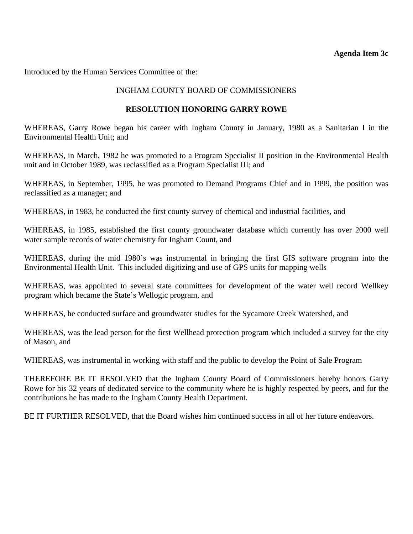#### **Agenda Item 3c**

<span id="page-19-0"></span>Introduced by the Human Services Committee of the:

## INGHAM COUNTY BOARD OF COMMISSIONERS

#### **RESOLUTION HONORING GARRY ROWE**

WHEREAS, Garry Rowe began his career with Ingham County in January, 1980 as a Sanitarian I in the Environmental Health Unit; and

WHEREAS, in March, 1982 he was promoted to a Program Specialist II position in the Environmental Health unit and in October 1989, was reclassified as a Program Specialist III; and

WHEREAS, in September, 1995, he was promoted to Demand Programs Chief and in 1999, the position was reclassified as a manager; and

WHEREAS, in 1983, he conducted the first county survey of chemical and industrial facilities, and

WHEREAS, in 1985, established the first county groundwater database which currently has over 2000 well water sample records of water chemistry for Ingham Count, and

WHEREAS, during the mid 1980's was instrumental in bringing the first GIS software program into the Environmental Health Unit. This included digitizing and use of GPS units for mapping wells

WHEREAS, was appointed to several state committees for development of the water well record Wellkey program which became the State's Wellogic program, and

WHEREAS, he conducted surface and groundwater studies for the Sycamore Creek Watershed, and

WHEREAS, was the lead person for the first Wellhead protection program which included a survey for the city of Mason, and

WHEREAS, was instrumental in working with staff and the public to develop the Point of Sale Program

THEREFORE BE IT RESOLVED that the Ingham County Board of Commissioners hereby honors Garry Rowe for his 32 years of dedicated service to the community where he is highly respected by peers, and for the contributions he has made to the Ingham County Health Department.

BE IT FURTHER RESOLVED, that the Board wishes him continued success in all of her future endeavors.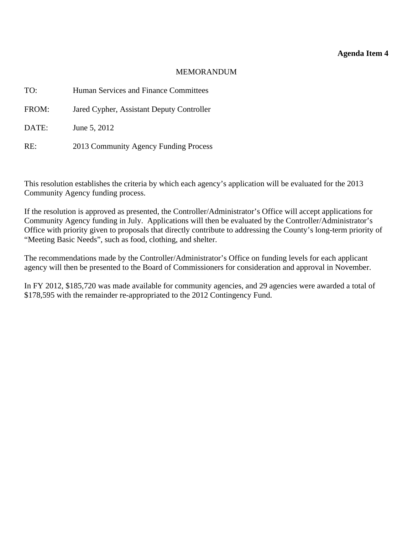#### **Agenda Item 4**

#### MEMORANDUM

<span id="page-20-0"></span>

| TO:   | Human Services and Finance Committees     |
|-------|-------------------------------------------|
| FROM: | Jared Cypher, Assistant Deputy Controller |
| DATE: | June 5, 2012                              |
| RE:   | 2013 Community Agency Funding Process     |

This resolution establishes the criteria by which each agency's application will be evaluated for the 2013 Community Agency funding process.

If the resolution is approved as presented, the Controller/Administrator's Office will accept applications for Community Agency funding in July. Applications will then be evaluated by the Controller/Administrator's Office with priority given to proposals that directly contribute to addressing the County's long-term priority of "Meeting Basic Needs", such as food, clothing, and shelter.

The recommendations made by the Controller/Administrator's Office on funding levels for each applicant agency will then be presented to the Board of Commissioners for consideration and approval in November.

In FY 2012, \$185,720 was made available for community agencies, and 29 agencies were awarded a total of \$178,595 with the remainder re-appropriated to the 2012 Contingency Fund.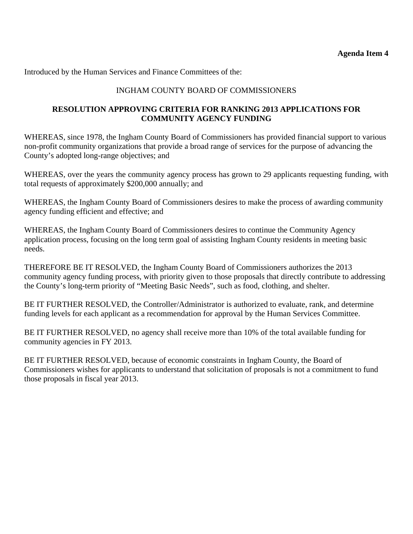Introduced by the Human Services and Finance Committees of the:

## INGHAM COUNTY BOARD OF COMMISSIONERS

## **RESOLUTION APPROVING CRITERIA FOR RANKING 2013 APPLICATIONS FOR COMMUNITY AGENCY FUNDING**

WHEREAS, since 1978, the Ingham County Board of Commissioners has provided financial support to various non-profit community organizations that provide a broad range of services for the purpose of advancing the County's adopted long-range objectives; and

WHEREAS, over the years the community agency process has grown to 29 applicants requesting funding, with total requests of approximately \$200,000 annually; and

WHEREAS, the Ingham County Board of Commissioners desires to make the process of awarding community agency funding efficient and effective; and

WHEREAS, the Ingham County Board of Commissioners desires to continue the Community Agency application process, focusing on the long term goal of assisting Ingham County residents in meeting basic needs.

THEREFORE BE IT RESOLVED, the Ingham County Board of Commissioners authorizes the 2013 community agency funding process, with priority given to those proposals that directly contribute to addressing the County's long-term priority of "Meeting Basic Needs", such as food, clothing, and shelter.

BE IT FURTHER RESOLVED, the Controller/Administrator is authorized to evaluate, rank, and determine funding levels for each applicant as a recommendation for approval by the Human Services Committee.

BE IT FURTHER RESOLVED, no agency shall receive more than 10% of the total available funding for community agencies in FY 2013.

BE IT FURTHER RESOLVED, because of economic constraints in Ingham County, the Board of Commissioners wishes for applicants to understand that solicitation of proposals is not a commitment to fund those proposals in fiscal year 2013.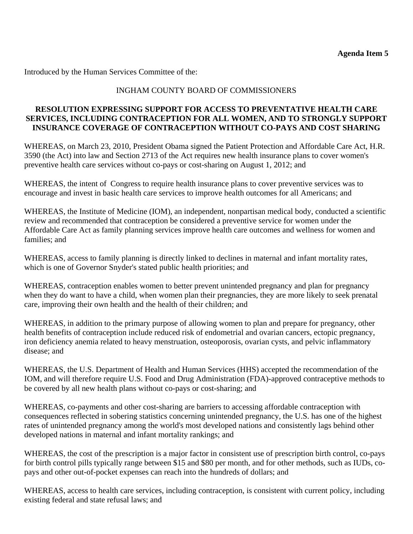<span id="page-22-0"></span>Introduced by the Human Services Committee of the:

## INGHAM COUNTY BOARD OF COMMISSIONERS

## **RESOLUTION EXPRESSING SUPPORT FOR ACCESS TO PREVENTATIVE HEALTH CARE SERVICES, INCLUDING CONTRACEPTION FOR ALL WOMEN, AND TO STRONGLY SUPPORT INSURANCE COVERAGE OF CONTRACEPTION WITHOUT CO-PAYS AND COST SHARING**

WHEREAS, on March 23, 2010, President Obama signed the Patient Protection and Affordable Care Act, H.R. 3590 (the Act) into law and Section 2713 of the Act requires new health insurance plans to cover women's preventive health care services without co-pays or cost-sharing on August 1, 2012; and

WHEREAS, the intent of Congress to require health insurance plans to cover preventive services was to encourage and invest in basic health care services to improve health outcomes for all Americans; and

WHEREAS, the Institute of Medicine (IOM), an independent, nonpartisan medical body, conducted a scientific review and recommended that contraception be considered a preventive service for women under the Affordable Care Act as family planning services improve health care outcomes and wellness for women and families; and

WHEREAS, access to family planning is directly linked to declines in maternal and infant mortality rates, which is one of Governor Snyder's stated public health priorities; and

WHEREAS, contraception enables women to better prevent unintended pregnancy and plan for pregnancy when they do want to have a child, when women plan their pregnancies, they are more likely to seek prenatal care, improving their own health and the health of their children; and

WHEREAS, in addition to the primary purpose of allowing women to plan and prepare for pregnancy, other health benefits of contraception include reduced risk of endometrial and ovarian cancers, ectopic pregnancy, iron deficiency anemia related to heavy menstruation, osteoporosis, ovarian cysts, and pelvic inflammatory disease; and

WHEREAS, the U.S. Department of Health and Human Services (HHS) accepted the recommendation of the IOM, and will therefore require U.S. Food and Drug Administration (FDA)-approved contraceptive methods to be covered by all new health plans without co-pays or cost-sharing; and

WHEREAS, co-payments and other cost-sharing are barriers to accessing affordable contraception with consequences reflected in sobering statistics concerning unintended pregnancy, the U.S. has one of the highest rates of unintended pregnancy among the world's most developed nations and consistently lags behind other developed nations in maternal and infant mortality rankings; and

WHEREAS, the cost of the prescription is a major factor in consistent use of prescription birth control, co-pays for birth control pills typically range between \$15 and \$80 per month, and for other methods, such as IUDs, copays and other out-of-pocket expenses can reach into the hundreds of dollars; and

WHEREAS, access to health care services, including contraception, is consistent with current policy, including existing federal and state refusal laws; and